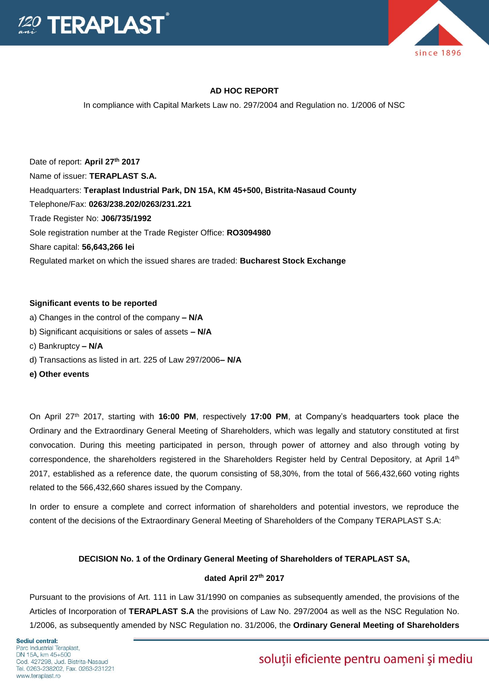



## **AD HOC REPORT**

In compliance with Capital Markets Law no. 297/2004 and Regulation no. 1/2006 of NSC

Date of report: **April 27th 2017** Name of issuer: **TERAPLAST S.A.**  Headquarters: **Teraplast Industrial Park, DN 15A, KM 45+500, Bistrita-Nasaud County**  Telephone/Fax: **0263/238.202/0263/231.221**  Trade Register No: **J06/735/1992**  Sole registration number at the Trade Register Office: **RO3094980**  Share capital: **56,643,266 lei**  Regulated market on which the issued shares are traded: **Bucharest Stock Exchange** 

### **Significant events to be reported**

- a) Changes in the control of the company **– N/A**
- b) Significant acquisitions or sales of assets **– N/A**
- c) Bankruptcy **– N/A**
- d) Transactions as listed in art. 225 of Law 297/2006**– N/A**
- **e) Other events**

On April 27<sup>th</sup> 2017, starting with **16:00 PM**, respectively 17:00 PM, at Company's headquarters took place the Ordinary and the Extraordinary General Meeting of Shareholders, which was legally and statutory constituted at first convocation. During this meeting participated in person, through power of attorney and also through voting by correspondence, the shareholders registered in the Shareholders Register held by Central Depository, at April  $14<sup>th</sup>$ 2017, established as a reference date, the quorum consisting of 58,30%, from the total of 566,432,660 voting rights related to the 566,432,660 shares issued by the Company.

In order to ensure a complete and correct information of shareholders and potential investors, we reproduce the content of the decisions of the Extraordinary General Meeting of Shareholders of the Company TERAPLAST S.A:

## **DECISION No. 1 of the Ordinary General Meeting of Shareholders of TERAPLAST SA,**

## **dated April 27 th 2017**

Pursuant to the provisions of Art. 111 in Law 31/1990 on companies as subsequently amended, the provisions of the Articles of Incorporation of **TERAPLAST S.A** the provisions of Law No. 297/2004 as well as the NSC Regulation No. 1/2006, as subsequently amended by NSC Regulation no. 31/2006, the **Ordinary General Meeting of Shareholders** 

# soluții eficiente pentru oameni și mediu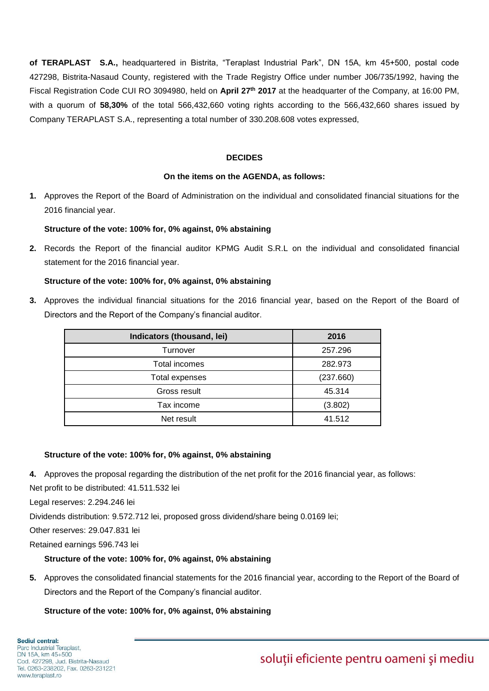**of TERAPLAST S.A.,** headquartered in Bistrita, "Teraplast Industrial Park", DN 15A, km 45+500, postal code 427298, Bistrita-Nasaud County, registered with the Trade Registry Office under number J06/735/1992, having the Fiscal Registration Code CUI RO 3094980, held on **April 27 th 2017** at the headquarter of the Company, at 16:00 PM, with a quorum of **58,30%** of the total 566,432,660 voting rights according to the 566,432,660 shares issued by Company TERAPLAST S.A., representing a total number of 330.208.608 votes expressed,

## **DECIDES**

### **On the items on the AGENDA, as follows:**

**1.** Approves the Report of the Board of Administration on the individual and consolidated financial situations for the 2016 financial year.

### **Structure of the vote: 100% for, 0% against, 0% abstaining**

**2.** Records the Report of the financial auditor KPMG Audit S.R.L on the individual and consolidated financial statement for the 2016 financial year.

### **Structure of the vote: 100% for, 0% against, 0% abstaining**

**3.** Approves the individual financial situations for the 2016 financial year, based on the Report of the Board of Directors and the Report of the Company's financial auditor.

| Indicators (thousand, lei) | 2016      |
|----------------------------|-----------|
| Turnover                   | 257.296   |
| Total incomes              | 282.973   |
| Total expenses             | (237.660) |
| Gross result               | 45.314    |
| Tax income                 | (3.802)   |
| Net result                 | 41.512    |

### **Structure of the vote: 100% for, 0% against, 0% abstaining**

- **4.** Approves the proposal regarding the distribution of the net profit for the 2016 financial year, as follows:
- Net profit to be distributed: 41.511.532 lei

Legal reserves: 2.294.246 lei

Dividends distribution: 9.572.712 lei, proposed gross dividend/share being 0.0169 lei;

Other reserves: 29.047.831 lei

Retained earnings 596.743 lei

## **Structure of the vote: 100% for, 0% against, 0% abstaining**

**5.** Approves the consolidated financial statements for the 2016 financial year, according to the Report of the Board of Directors and the Report of the Company's financial auditor.

## **Structure of the vote: 100% for, 0% against, 0% abstaining**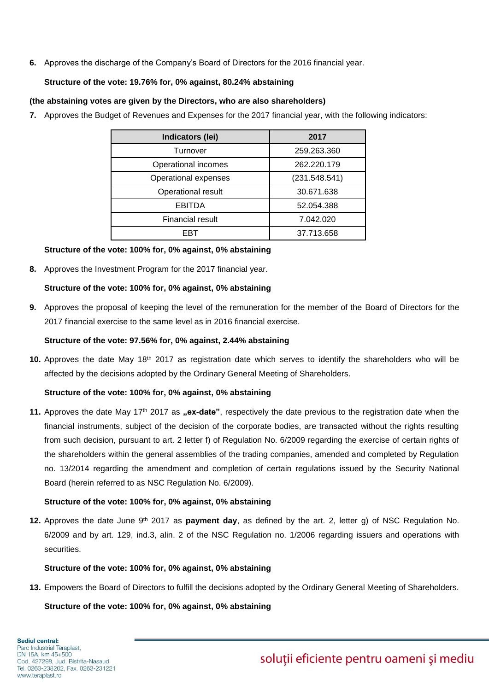**6.** Approves the discharge of the Company's Board of Directors for the 2016 financial year.

## **Structure of the vote: 19.76% for, 0% against, 80.24% abstaining**

## **(the abstaining votes are given by the Directors, who are also shareholders)**

**7.** Approves the Budget of Revenues and Expenses for the 2017 financial year, with the following indicators:

| Indicators (lei)        | 2017          |
|-------------------------|---------------|
| Turnover                | 259.263.360   |
| Operational incomes     | 262.220.179   |
| Operational expenses    | (231.548.541) |
| Operational result      | 30.671.638    |
| <b>EBITDA</b>           | 52.054.388    |
| <b>Financial result</b> | 7.042.020     |
| FBT                     | 37.713.658    |

## **Structure of the vote: 100% for, 0% against, 0% abstaining**

**8.** Approves the Investment Program for the 2017 financial year.

## **Structure of the vote: 100% for, 0% against, 0% abstaining**

**9.** Approves the proposal of keeping the level of the remuneration for the member of the Board of Directors for the 2017 financial exercise to the same level as in 2016 financial exercise.

## **Structure of the vote: 97.56% for, 0% against, 2.44% abstaining**

**10.** Approves the date May 18th 2017 as registration date which serves to identify the shareholders who will be affected by the decisions adopted by the Ordinary General Meeting of Shareholders.

## **Structure of the vote: 100% for, 0% against, 0% abstaining**

11. Approves the date May 17<sup>th</sup> 2017 as **"ex-date**", respectively the date previous to the registration date when the financial instruments, subject of the decision of the corporate bodies, are transacted without the rights resulting from such decision, pursuant to art. 2 letter f) of Regulation No. 6/2009 regarding the exercise of certain rights of the shareholders within the general assemblies of the trading companies, amended and completed by Regulation no. 13/2014 regarding the amendment and completion of certain regulations issued by the Security National Board (herein referred to as NSC Regulation No. 6/2009).

## **Structure of the vote: 100% for, 0% against, 0% abstaining**

**12.** Approves the date June 9<sup>th</sup> 2017 as **payment day**, as defined by the art. 2, letter g) of NSC Regulation No. 6/2009 and by art. 129, ind.3, alin. 2 of the NSC Regulation no. 1/2006 regarding issuers and operations with securities.

## **Structure of the vote: 100% for, 0% against, 0% abstaining**

**13.** Empowers the Board of Directors to fulfill the decisions adopted by the Ordinary General Meeting of Shareholders.

**Structure of the vote: 100% for, 0% against, 0% abstaining**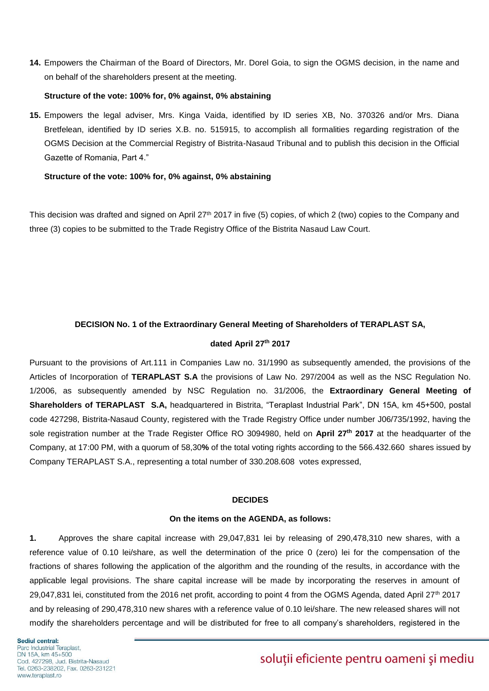**14.** Empowers the Chairman of the Board of Directors, Mr. Dorel Goia, to sign the OGMS decision, in the name and on behalf of the shareholders present at the meeting.

#### **Structure of the vote: 100% for, 0% against, 0% abstaining**

**15.** Empowers the legal adviser, Mrs. Kinga Vaida, identified by ID series XB, No. 370326 and/or Mrs. Diana Bretfelean, identified by ID series X.B. no. 515915, to accomplish all formalities regarding registration of the OGMS Decision at the Commercial Registry of Bistrita-Nasaud Tribunal and to publish this decision in the Official Gazette of Romania, Part 4."

#### **Structure of the vote: 100% for, 0% against, 0% abstaining**

This decision was drafted and signed on April 27<sup>th</sup> 2017 in five (5) copies, of which 2 (two) copies to the Company and three (3) copies to be submitted to the Trade Registry Office of the Bistrita Nasaud Law Court.

### **DECISION No. 1 of the Extraordinary General Meeting of Shareholders of TERAPLAST SA,**

#### **dated April 27 th 2017**

Pursuant to the provisions of Art.111 in Companies Law no. 31/1990 as subsequently amended, the provisions of the Articles of Incorporation of **TERAPLAST S.A** the provisions of Law No. 297/2004 as well as the NSC Regulation No. 1/2006, as subsequently amended by NSC Regulation no. 31/2006, the **Extraordinary General Meeting of Shareholders of TERAPLAST S.A,** headquartered in Bistrita, "Teraplast Industrial Park", DN 15A, km 45+500, postal code 427298, Bistrita-Nasaud County, registered with the Trade Registry Office under number J06/735/1992, having the sole registration number at the Trade Register Office RO 3094980, held on **April 27th 2017** at the headquarter of the Company, at 17:00 PM, with a quorum of 58,30**%** of the total voting rights according to the 566.432.660 shares issued by Company TERAPLAST S.A., representing a total number of 330.208.608 votes expressed,

#### **DECIDES**

#### **On the items on the AGENDA, as follows:**

**1.** Approves the share capital increase with 29,047,831 lei by releasing of 290,478,310 new shares, with a reference value of 0.10 lei/share, as well the determination of the price 0 (zero) lei for the compensation of the fractions of shares following the application of the algorithm and the rounding of the results, in accordance with the applicable legal provisions. The share capital increase will be made by incorporating the reserves in amount of 29,047,831 lei, constituted from the 2016 net profit, according to point 4 from the OGMS Agenda, dated April 27th 2017 and by releasing of 290,478,310 new shares with a reference value of 0.10 lei/share. The new released shares will not modify the shareholders percentage and will be distributed for free to all company's shareholders, registered in the

Sediul central: Parc Industrial Teraplast, DN 15A, km 45+500 Cod. 427298, Jud. Bistrita-Nasaud Tel. 0263-238202, Fax. 0263-231221 www.teraplast.ro

# soluții eficiente pentru oameni și mediu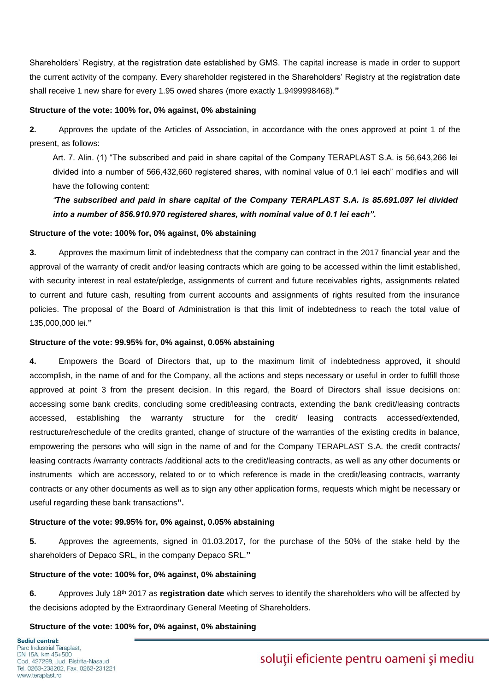Shareholders' Registry, at the registration date established by GMS. The capital increase is made in order to support the current activity of the company. Every shareholder registered in the Shareholders' Registry at the registration date shall receive 1 new share for every 1.95 owed shares (more exactly 1.9499998468).**"**

## **Structure of the vote: 100% for, 0% against, 0% abstaining**

**2.** Approves the update of the Articles of Association, in accordance with the ones approved at point 1 of the present, as follows:

Art. 7. Alin. (1) "The subscribed and paid in share capital of the Company TERAPLAST S.A. is 56,643,266 lei divided into a number of 566,432,660 registered shares, with nominal value of 0.1 lei each" modifies and will have the following content:

*"The subscribed and paid in share capital of the Company TERAPLAST S.A. is 85.691.097 lei divided into a number of 856.910.970 registered shares, with nominal value of 0.1 lei each".*

### **Structure of the vote: 100% for, 0% against, 0% abstaining**

**3.** Approves the maximum limit of indebtedness that the company can contract in the 2017 financial year and the approval of the warranty of credit and/or leasing contracts which are going to be accessed within the limit established, with security interest in real estate/pledge, assignments of current and future receivables rights, assignments related to current and future cash, resulting from current accounts and assignments of rights resulted from the insurance policies. The proposal of the Board of Administration is that this limit of indebtedness to reach the total value of 135,000,000 lei.**"**

#### **Structure of the vote: 99.95% for, 0% against, 0.05% abstaining**

**4.** Empowers the Board of Directors that, up to the maximum limit of indebtedness approved, it should accomplish, in the name of and for the Company, all the actions and steps necessary or useful in order to fulfill those approved at point 3 from the present decision. In this regard, the Board of Directors shall issue decisions on: accessing some bank credits, concluding some credit/leasing contracts, extending the bank credit/leasing contracts accessed, establishing the warranty structure for the credit/ leasing contracts accessed/extended, restructure/reschedule of the credits granted, change of structure of the warranties of the existing credits in balance, empowering the persons who will sign in the name of and for the Company TERAPLAST S.A. the credit contracts/ leasing contracts /warranty contracts /additional acts to the credit/leasing contracts, as well as any other documents or instruments which are accessory, related to or to which reference is made in the credit/leasing contracts, warranty contracts or any other documents as well as to sign any other application forms, requests which might be necessary or useful regarding these bank transactions**".**

## **Structure of the vote: 99.95% for, 0% against, 0.05% abstaining**

**5.** Approves the agreements, signed in 01.03.2017, for the purchase of the 50% of the stake held by the shareholders of Depaco SRL, in the company Depaco SRL.**"**

## **Structure of the vote: 100% for, 0% against, 0% abstaining**

**6.** Approves July 18th 2017 as **registration date** which serves to identify the shareholders who will be affected by the decisions adopted by the Extraordinary General Meeting of Shareholders.

## **Structure of the vote: 100% for, 0% against, 0% abstaining**